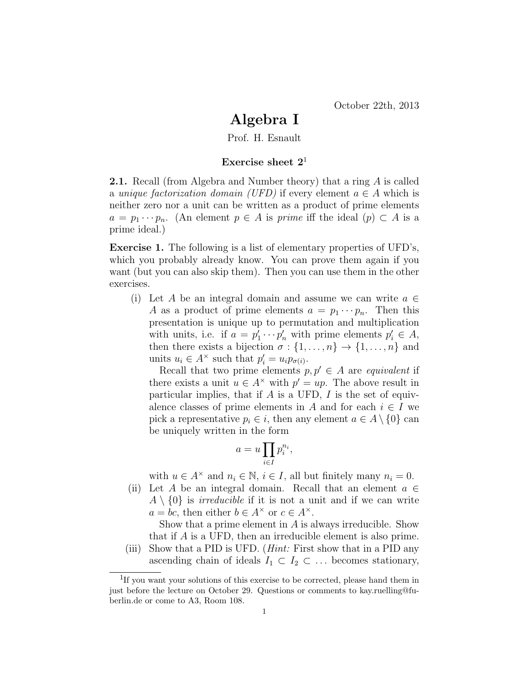## Algebra I

Prof. H. Esnault

## Exercise sheet  $2<sup>1</sup>$

2.1. Recall (from Algebra and Number theory) that a ring A is called a unique factorization domain (UFD) if every element  $a \in A$  which is neither zero nor a unit can be written as a product of prime elements  $a = p_1 \cdots p_n$ . (An element  $p \in A$  is prime iff the ideal  $(p) \subset A$  is a prime ideal.)

Exercise 1. The following is a list of elementary properties of UFD's, which you probably already know. You can prove them again if you want (but you can also skip them). Then you can use them in the other exercises.

(i) Let A be an integral domain and assume we can write  $a \in \mathbb{R}$ A as a product of prime elements  $a = p_1 \cdots p_n$ . Then this presentation is unique up to permutation and multiplication with units, i.e. if  $a = p'_1 \cdots p'_n$  with prime elements  $p'_i \in A$ , then there exists a bijection  $\sigma : \{1, \ldots, n\} \to \{1, \ldots, n\}$  and units  $u_i \in A^{\times}$  such that  $p'_i = u_i p_{\sigma(i)}$ .

Recall that two prime elements  $p, p' \in A$  are equivalent if there exists a unit  $u \in A^{\times}$  with  $p' = up$ . The above result in particular implies, that if  $A$  is a UFD,  $I$  is the set of equivalence classes of prime elements in A and for each  $i \in I$  we pick a representative  $p_i \in i$ , then any element  $a \in A \setminus \{0\}$  can be uniquely written in the form

$$
a = u \prod_{i \in I} p_i^{n_i},
$$

with  $u \in A^{\times}$  and  $n_i \in \mathbb{N}, i \in I$ , all but finitely many  $n_i = 0$ .

(ii) Let A be an integral domain. Recall that an element  $a \in$  $A \setminus \{0\}$  is *irreducible* if it is not a unit and if we can write  $a = bc$ , then either  $b \in A^{\times}$  or  $c \in A^{\times}$ .

Show that a prime element in A is always irreducible. Show that if A is a UFD, then an irreducible element is also prime.

(iii) Show that a PID is UFD. (*Hint:* First show that in a PID any ascending chain of ideals  $I_1 \subset I_2 \subset \ldots$  becomes stationary,

<sup>&</sup>lt;sup>1</sup>If you want your solutions of this exercise to be corrected, please hand them in just before the lecture on October 29. Questions or comments to kay.ruelling@fuberlin.de or come to A3, Room 108.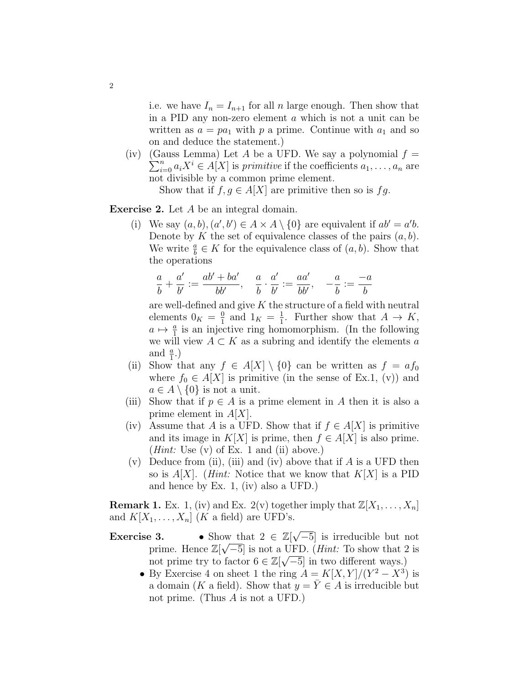i.e. we have  $I_n = I_{n+1}$  for all n large enough. Then show that in a PID any non-zero element a which is not a unit can be written as  $a = pa_1$  with p a prime. Continue with  $a_1$  and so on and deduce the statement.)

(iv) (Gauss Lemma) Let A be a UFD. We say a polynomial  $f =$  $\sum_{i=0}^{n} a_i X^i \in A[X]$  is primitive if the coefficients  $a_1, \ldots, a_n$  are not divisible by a common prime element.

Show that if  $f, g \in A[X]$  are primitive then so is  $fg$ .

Exercise 2. Let A be an integral domain.

(i) We say  $(a, b), (a', b') \in A \times A \setminus \{0\}$  are equivalent if  $ab' = a'b$ . Denote by K the set of equivalence classes of the pairs  $(a, b)$ . We write  $\frac{a}{b} \in K$  for the equivalence class of  $(a, b)$ . Show that the operations

$$
\frac{a}{b} + \frac{a'}{b'} := \frac{ab' + ba'}{bb'}, \quad \frac{a}{b} \cdot \frac{a'}{b'} := \frac{aa'}{bb'}, \quad -\frac{a}{b} := \frac{-a}{b}
$$

are well-defined and give  $K$  the structure of a field with neutral elements  $0_K = \frac{0}{1}$  $\frac{0}{1}$  and  $1_K = \frac{1}{1}$  $\frac{1}{1}$ . Further show that  $A \rightarrow K$ ,  $a \mapsto \frac{a}{1}$  is an injective ring homomorphism. (In the following we will view  $A \subset K$  as a subring and identify the elements a and  $\frac{a}{1}$ .)

- (ii) Show that any  $f \in A[X] \setminus \{0\}$  can be written as  $f = af_0$ where  $f_0 \in A[X]$  is primitive (in the sense of Ex.1, (v)) and  $a \in A \setminus \{0\}$  is not a unit.
- (iii) Show that if  $p \in A$  is a prime element in A then it is also a prime element in  $A|X|$ .
- (iv) Assume that A is a UFD. Show that if  $f \in A[X]$  is primitive and its image in  $K[X]$  is prime, then  $f \in A[X]$  is also prime. (*Hint:* Use  $(v)$  of Ex. 1 and  $(ii)$  above.)
- (v) Deduce from (ii), (iii) and (iv) above that if  $A$  is a UFD then so is  $A[X]$ . (*Hint:* Notice that we know that  $K[X]$  is a PID and hence by Ex. 1, (iv) also a UFD.)

**Remark 1.** Ex. 1, (iv) and Ex. 2(v) together imply that  $\mathbb{Z}[X_1, \ldots, X_n]$ and  $K[X_1, \ldots, X_n]$  (K a field) are UFD's.

- **Exercise 3.** Show that  $2 \in \mathbb{Z}[\sqrt{2}]$  $-\infty$  that  $2 \in \mathbb{Z}[\sqrt{-5}]$  is irreducible but not prime. Hence  $\mathbb{Z}[\sqrt{-5}]$  is not a UFD. (*Hint:* To show that 2 is not prime try to factor  $6 \in \mathbb{Z}[\sqrt{-5}]$  in two different ways.)
	- By Exercise 4 on sheet 1 the ring  $A = K[X, Y]/(Y^2 X^3)$  is a domain (K a field). Show that  $y = \overline{Y} \in A$  is irreducible but not prime. (Thus  $A$  is not a UFD.)